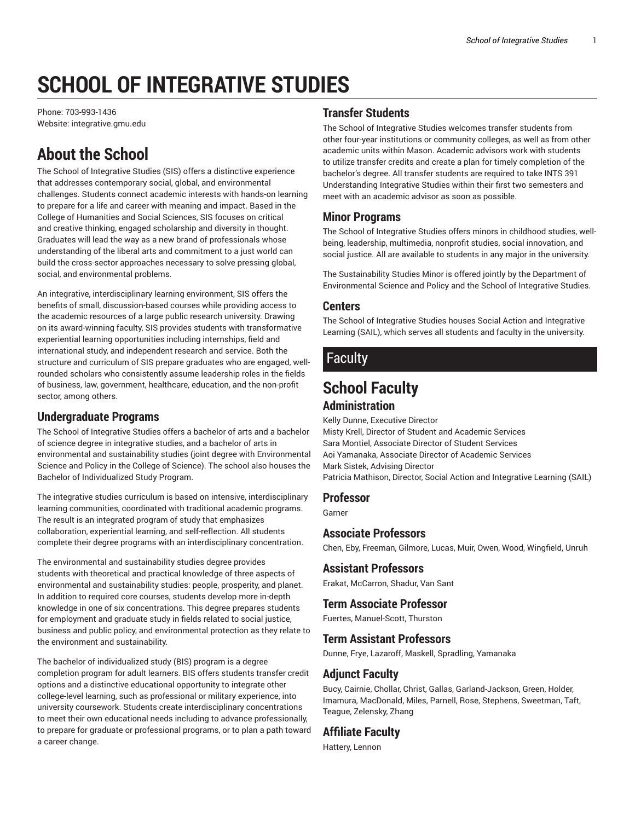# **SCHOOL OF INTEGRATIVE STUDIES**

Phone: 703-993-1436 Website: integrative.gmu.edu

# **About the School**

The School of Integrative Studies (SIS) offers a distinctive experience that addresses contemporary social, global, and environmental challenges. Students connect academic interests with hands-on learning to prepare for a life and career with meaning and impact. Based in the College of Humanities and Social Sciences, SIS focuses on critical and creative thinking, engaged scholarship and diversity in thought. Graduates will lead the way as a new brand of professionals whose understanding of the liberal arts and commitment to a just world can build the cross-sector approaches necessary to solve pressing global, social, and environmental problems.

An integrative, interdisciplinary learning environment, SIS offers the benefits of small, discussion-based courses while providing access to the academic resources of a large public research university. Drawing on its award-winning faculty, SIS provides students with transformative experiential learning opportunities including internships, field and international study, and independent research and service. Both the structure and curriculum of SIS prepare graduates who are engaged, wellrounded scholars who consistently assume leadership roles in the fields of business, law, government, healthcare, education, and the non-profit sector, among others.

#### **Undergraduate Programs**

The School of Integrative Studies offers a bachelor of arts and a bachelor of science degree in integrative studies, and a bachelor of arts in environmental and sustainability studies (joint degree with Environmental Science and Policy in the College of Science). The school also houses the Bachelor of Individualized Study Program.

The integrative studies curriculum is based on intensive, interdisciplinary learning communities, coordinated with traditional academic programs. The result is an integrated program of study that emphasizes collaboration, experiential learning, and self-reflection. All students complete their degree programs with an interdisciplinary concentration.

The environmental and sustainability studies degree provides students with theoretical and practical knowledge of three aspects of environmental and sustainability studies: people, prosperity, and planet. In addition to required core courses, students develop more in-depth knowledge in one of six concentrations. This degree prepares students for employment and graduate study in fields related to social justice, business and public policy, and environmental protection as they relate to the environment and sustainability.

The bachelor of individualized study (BIS) program is a degree completion program for adult learners. BIS offers students transfer credit options and a distinctive educational opportunity to integrate other college-level learning, such as professional or military experience, into university coursework. Students create interdisciplinary concentrations to meet their own educational needs including to advance professionally, to prepare for graduate or professional programs, or to plan a path toward a career change.

#### **Transfer Students**

The School of Integrative Studies welcomes transfer students from other four-year institutions or community colleges, as well as from other academic units within Mason. Academic advisors work with students to utilize transfer credits and create a plan for timely completion of the bachelor's degree. All transfer students are required to take INTS 391 Understanding Integrative Studies within their first two semesters and meet with an academic advisor as soon as possible.

#### **Minor Programs**

The School of Integrative Studies offers minors in childhood studies, wellbeing, leadership, multimedia, nonprofit studies, social innovation, and social justice. All are available to students in any major in the university.

The Sustainability Studies Minor is offered jointly by the Department of Environmental Science and Policy and the School of Integrative Studies.

#### **Centers**

The School of Integrative Studies houses Social Action and Integrative Learning (SAIL), which serves all students and faculty in the university.

### Faculty

## **School Faculty**

#### **Administration**

Kelly Dunne, Executive Director Misty Krell, Director of Student and Academic Services Sara Montiel, Associate Director of Student Services Aoi Yamanaka, Associate Director of Academic Services Mark Sistek, Advising Director Patricia Mathison, Director, Social Action and Integrative Learning (SAIL)

#### **Professor**

Garner

#### **Associate Professors**

Chen, Eby, Freeman, Gilmore, Lucas, Muir, Owen, Wood, Wingfield, Unruh

#### **Assistant Professors**

Erakat, McCarron, Shadur, Van Sant

#### **Term Associate Professor**

Fuertes, Manuel-Scott, Thurston

#### **Term Assistant Professors**

Dunne, Frye, Lazaroff, Maskell, Spradling, Yamanaka

#### **Adjunct Faculty**

Bucy, Cairnie, Chollar, Christ, Gallas, Garland-Jackson, Green, Holder, Imamura, MacDonald, Miles, Parnell, Rose, Stephens, Sweetman, Taft, Teague, Zelensky, Zhang

#### **Affiliate Faculty**

Hattery, Lennon